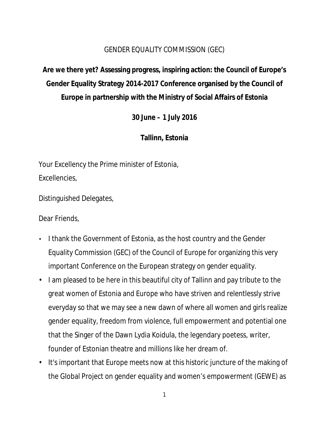#### GENDER EQUALITY COMMISSION (GEC)

**Are we there yet? Assessing progress, inspiring action: the Council of Europe's Gender Equality Strategy 2014-2017 Conference organised by the Council of Europe in partnership with the Ministry of Social Affairs of Estonia**

**30 June – 1 July 2016**

**Tallinn, Estonia**

Your Excellency the Prime minister of Estonia, Excellencies,

Distinguished Delegates,

Dear Friends,

- I thank the Government of Estonia, as the host country and the Gender Equality Commission (GEC) of the Council of Europe for organizing this very important Conference on the European strategy on gender equality.
- I am pleased to be here in this beautiful city of Tallinn and pay tribute to the great women of Estonia and Europe who have striven and relentlessly strive everyday so that we may see a new dawn of where all women and girls realize gender equality, freedom from violence, full empowerment and potential one that the Singer of the Dawn Lydia Koidula, the legendary poetess, writer, founder of Estonian theatre and millions like her dream of.
- It's important that Europe meets now at this historic juncture of the making of the Global Project on gender equality and women's empowerment (GEWE) as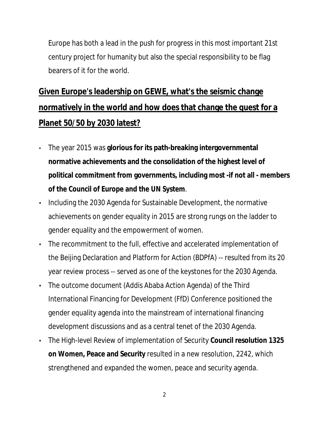Europe has both a lead in the push for progress in this most important 21st century project for humanity but also the special responsibility to be flag bearers of it for the world.

# **Given Europe's leadership on GEWE, what's the seismic change normatively in the world and how does that change the quest for a Planet 50/50 by 2030 latest?**

- The year 2015 was **glorious for its path-breaking intergovernmental normative achievements and the consolidation of the highest level of political commitment from governments, including most -if not all - members of the Council of Europe and the UN System**.
- Including the 2030 Agenda for Sustainable Development, the normative achievements on gender equality in 2015 are strong rungs on the ladder to gender equality and the empowerment of women.
- The recommitment to the full, effective and accelerated implementation of the Beijing Declaration and Platform for Action (BDPfA) -- resulted from its 20 year review process -- served as one of the keystones for the 2030 Agenda.
- The outcome document (Addis Ababa Action Agenda) of the Third International Financing for Development (FfD) Conference positioned the gender equality agenda into the mainstream of international financing development discussions and as a central tenet of the 2030 Agenda.
- The High-level Review of implementation of Security **Council resolution 1325 on Women, Peace and Security** resulted in a new resolution, 2242, which strengthened and expanded the women, peace and security agenda.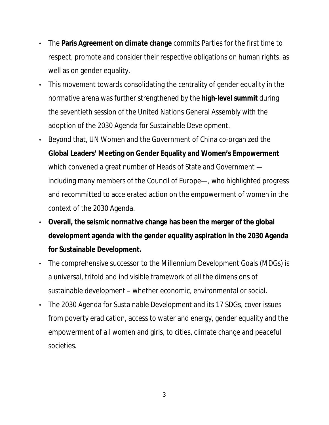- The **Paris Agreement on climate change** commits Parties for the first time to respect, promote and consider their respective obligations on human rights, as well as on gender equality.
- This movement towards consolidating the centrality of gender equality in the normative arena was further strengthened by the **high-level summit** during the seventieth session of the United Nations General Assembly with the adoption of the 2030 Agenda for Sustainable Development.
- Beyond that, UN Women and the Government of China co-organized the **Global Leaders' Meeting on Gender Equality and Women's Empowerment** which convened a great number of Heads of State and Government including many members of the Council of Europe—, who highlighted progress and recommitted to accelerated action on the empowerment of women in the context of the 2030 Agenda.
- **Overall, the seismic normative change has been the merger of the global development agenda with the gender equality aspiration in the 2030 Agenda for Sustainable Development.**
- The comprehensive successor to the Millennium Development Goals (MDGs) is a universal, trifold and indivisible framework of all the dimensions of sustainable development – whether economic, environmental or social.
- The 2030 Agenda for Sustainable Development and its 17 SDGs, cover issues from poverty eradication, access to water and energy, gender equality and the empowerment of all women and girls, to cities, climate change and peaceful societies.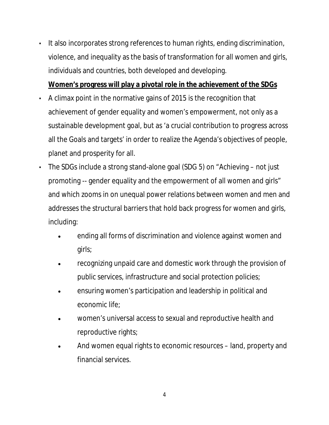- It also incorporates strong references to human rights, ending discrimination, violence, and inequality as the basis of transformation for all women and girls, individuals and countries, both developed and developing. **Women's progress will play a pivotal role in the achievement of the SDGs**
- A climax point in the normative gains of 2015 is the recognition that achievement of gender equality and women's empowerment, not only as a sustainable development goal, but as 'a crucial contribution to progress across all the Goals and targets' in order to realize the Agenda's objectives of people, planet and prosperity for all.
- The SDGs include a strong stand-alone goal (SDG 5) on "Achieving not just promoting -- gender equality and the empowerment of all women and girls" and which zooms in on unequal power relations between women and men and addresses the structural barriers that hold back progress for women and girls, including:
	- ending all forms of discrimination and violence against women and girls;
	- recognizing unpaid care and domestic work through the provision of public services, infrastructure and social protection policies;
	- ensuring women's participation and leadership in political and economic life;
	- women's universal access to sexual and reproductive health and reproductive rights;
	- And women equal rights to economic resources land, property and financial services.

4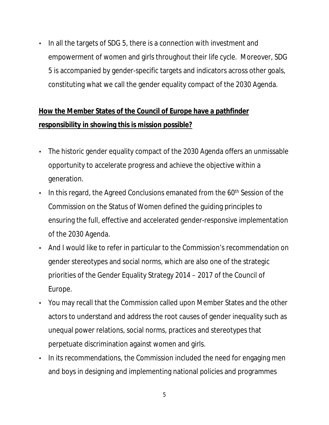• In all the targets of SDG 5, there is a connection with investment and empowerment of women and girls throughout their life cycle. Moreover, SDG 5 is accompanied by gender-specific targets and indicators across other goals, constituting what we call the gender equality compact of the 2030 Agenda.

### **How the Member States of the Council of Europe have a pathfinder responsibility in showing this is mission possible?**

- The historic gender equality compact of the 2030 Agenda offers an unmissable opportunity to accelerate progress and achieve the objective within a generation.
- $\cdot$  In this regard, the Agreed Conclusions emanated from the 60<sup>th</sup> Session of the Commission on the Status of Women defined the guiding principles to ensuring the full, effective and accelerated gender-responsive implementation of the 2030 Agenda.
- And I would like to refer in particular to the Commission's recommendation on gender stereotypes and social norms, which are also one of the strategic priorities of the Gender Equality Strategy 2014 – 2017 of the Council of Europe.
- You may recall that the Commission called upon Member States and the other actors to understand and address the root causes of gender inequality such as unequal power relations, social norms, practices and stereotypes that perpetuate discrimination against women and girls.
- In its recommendations, the Commission included the need for engaging men and boys in designing and implementing national policies and programmes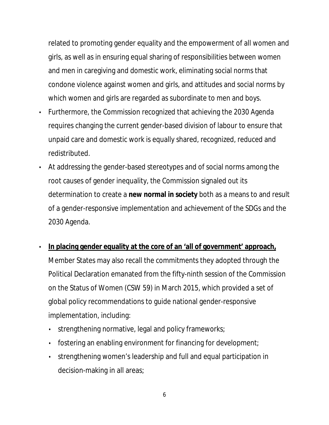related to promoting gender equality and the empowerment of all women and girls, as well as in ensuring equal sharing of responsibilities between women and men in caregiving and domestic work, eliminating social norms that condone violence against women and girls, and attitudes and social norms by which women and girls are regarded as subordinate to men and boys.

- Furthermore, the Commission recognized that achieving the 2030 Agenda requires changing the current gender-based division of labour to ensure that unpaid care and domestic work is equally shared, recognized, reduced and redistributed.
- At addressing the gender-based stereotypes and of social norms among the root causes of gender inequality, the Commission signaled out its determination to create a **new normal in society** both as a means to and result of a gender-responsive implementation and achievement of the SDGs and the 2030 Agenda.
- **In placing gender equality at the core of an 'all of government' approach,** Member States may also recall the commitments they adopted through the Political Declaration emanated from the fifty-ninth session of the Commission on the Status of Women (CSW 59) in March 2015, which provided a set of global policy recommendations to guide national gender-responsive implementation, including:
	- strengthening normative, legal and policy frameworks;
	- fostering an enabling environment for financing for development;
	- strengthening women's leadership and full and equal participation in decision-making in all areas;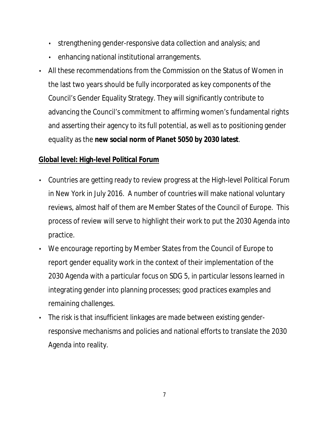- strengthening gender-responsive data collection and analysis; and
- enhancing national institutional arrangements.
- All these recommendations from the Commission on the Status of Women in the last two years should be fully incorporated as key components of the Council's Gender Equality Strategy. They will significantly contribute to advancing the Council's commitment to affirming women's fundamental rights and asserting their agency to its full potential, as well as to positioning gender equality as the **new social norm of Planet 5050 by 2030 latest**.

#### **Global level: High-level Political Forum**

- Countries are getting ready to review progress at the High-level Political Forum in New York in July 2016. A number of countries will make national voluntary reviews, almost half of them are Member States of the Council of Europe. This process of review will serve to highlight their work to put the 2030 Agenda into practice.
- We encourage reporting by Member States from the Council of Europe to report gender equality work in the context of their implementation of the 2030 Agenda with a particular focus on SDG 5, in particular lessons learned in integrating gender into planning processes; good practices examples and remaining challenges.
- The risk is that insufficient linkages are made between existing genderresponsive mechanisms and policies and national efforts to translate the 2030 Agenda into reality.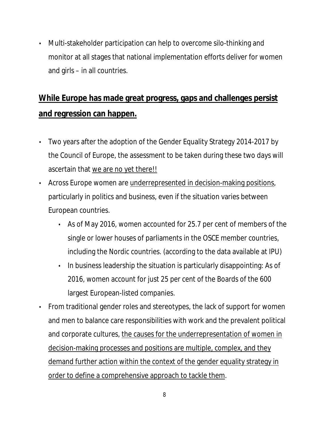• Multi-stakeholder participation can help to overcome silo-thinking and monitor at all stages that national implementation efforts deliver for women and girls – in all countries.

## **While Europe has made great progress, gaps and challenges persist and regression can happen.**

- Two years after the adoption of the Gender Equality Strategy 2014-2017 by the Council of Europe, the assessment to be taken during these two days will ascertain that we are no yet there!!
- Across Europe women are underrepresented in decision-making positions, particularly in politics and business, even if the situation varies between European countries.
	- As of May 2016, women accounted for 25.7 per cent of members of the single or lower houses of parliaments in the OSCE member countries, including the Nordic countries. (according to the data available at IPU)
	- In business leadership the situation is particularly disappointing: As of 2016, women account for just 25 per cent of the Boards of the 600 largest European-listed companies.
- From traditional gender roles and stereotypes, the lack of support for women and men to balance care responsibilities with work and the prevalent political and corporate cultures, the causes for the underrepresentation of women in decision-making processes and positions are multiple, complex, and they demand further action within the context of the gender equality strategy in order to define a comprehensive approach to tackle them.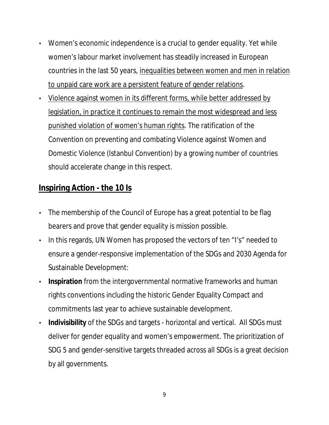- Women's economic independence is a crucial to gender equality. Yet while women's labour market involvement has steadily increased in European countries in the last 50 years, inequalities between women and men in relation to unpaid care work are a persistent feature of gender relations.
- Violence against women in its different forms, while better addressed by legislation, in practice it continues to remain the most widespread and less punished violation of women's human rights. The ratification of the Convention on preventing and combating Violence against Women and Domestic Violence (Istanbul Convention) by a growing number of countries should accelerate change in this respect.

### **Inspiring Action - the 10 Is**

- The membership of the Council of Europe has a great potential to be flag bearers and prove that gender equality is mission possible.
- In this regards, UN Women has proposed the vectors of ten "I's" needed to ensure a gender-responsive implementation of the SDGs and 2030 Agenda for Sustainable Development:
- **Inspiration** from the intergovernmental normative frameworks and human rights conventions including the historic Gender Equality Compact and commitments last year to achieve sustainable development.
- **Indivisibility** of the SDGs and targets horizontal and vertical. All SDGs must deliver for gender equality and women's empowerment. The prioritization of SDG 5 and gender-sensitive targets threaded across all SDGs is a great decision by all governments.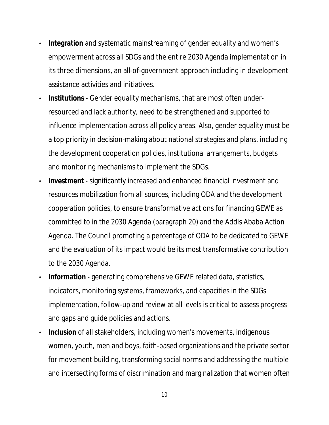- **Integration** and systematic mainstreaming of gender equality and women's empowerment across all SDGs and the entire 2030 Agenda implementation in its three dimensions, an all-of-government approach including in development assistance activities and initiatives.
- **Institutions** Gender equality mechanisms, that are most often underresourced and lack authority, need to be strengthened and supported to influence implementation across all policy areas. Also, gender equality must be a top priority in decision-making about national strategies and plans, including the development cooperation policies, institutional arrangements, budgets and monitoring mechanisms to implement the SDGs.
- **Investment** significantly increased and enhanced financial investment and resources mobilization from all sources, including ODA and the development cooperation policies, to ensure transformative actions for financing GEWE as committed to in the 2030 Agenda (paragraph 20) and the Addis Ababa Action Agenda. The Council promoting a percentage of ODA to be dedicated to GEWE and the evaluation of its impact would be its most transformative contribution to the 2030 Agenda.
- **Information** generating comprehensive GEWE related data, statistics, indicators, monitoring systems, frameworks, and capacities in the SDGs implementation, follow-up and review at all levels is critical to assess progress and gaps and guide policies and actions.
- **Inclusion** of all stakeholders, including women's movements, indigenous women, youth, men and boys, faith-based organizations and the private sector for movement building, transforming social norms and addressing the multiple and intersecting forms of discrimination and marginalization that women often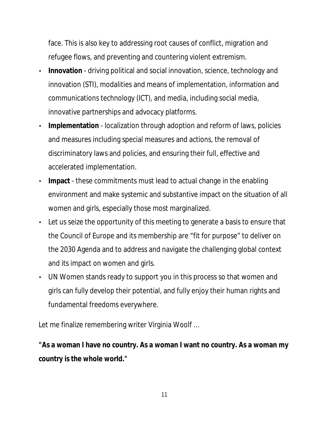face. This is also key to addressing root causes of conflict, migration and refugee flows, and preventing and countering violent extremism.

- **Innovation** driving political and social innovation, science, technology and innovation (STI), modalities and means of implementation, information and communications technology (ICT), and media, including social media, innovative partnerships and advocacy platforms.
- **Implementation** localization through adoption and reform of laws, policies and measures including special measures and actions, the removal of discriminatory laws and policies, and ensuring their full, effective and accelerated implementation.
- **Impact** these commitments must lead to actual change in the enabling environment and make systemic and substantive impact on the situation of all women and girls, especially those most marginalized.
- Let us seize the opportunity of this meeting to generate a basis to ensure that the Council of Europe and its membership are "fit for purpose" to deliver on the 2030 Agenda and to address and navigate the challenging global context and its impact on women and girls.
- UN Women stands ready to support you in this process so that women and girls can fully develop their potential, and fully enjoy their human rights and fundamental freedoms everywhere.

Let me finalize remembering writer Virginia Woolf …

**"As a woman I have no country. As a woman I want no country. As a woman my country is the whole world."**